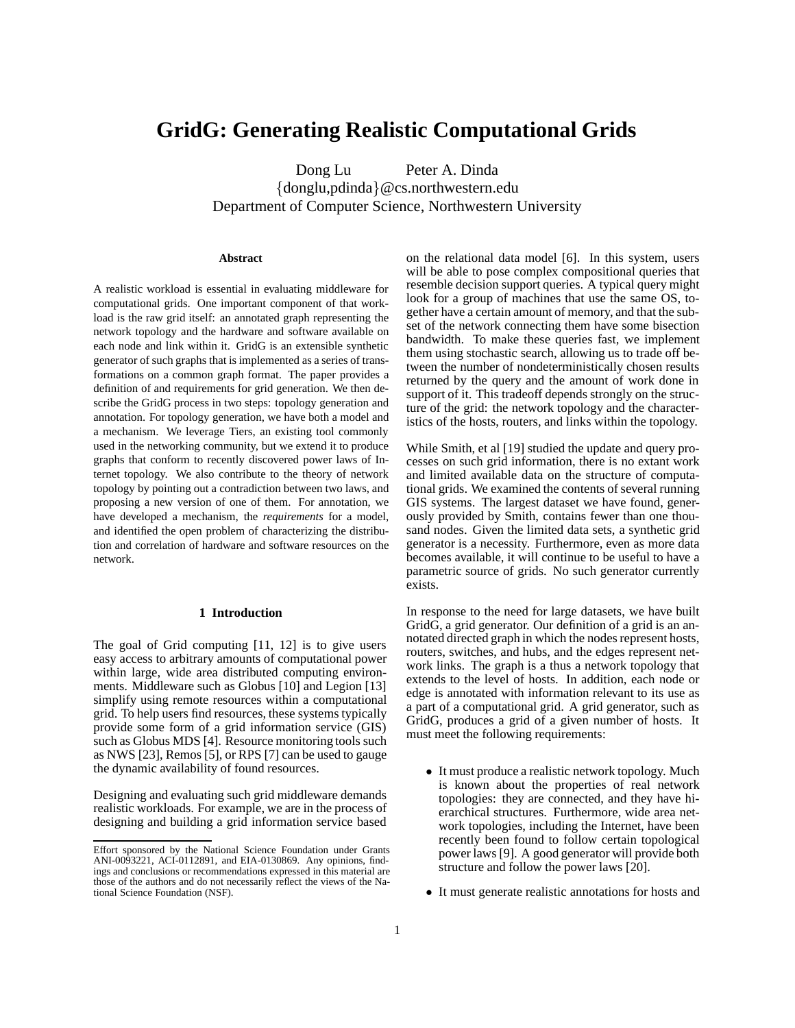# **GridG: Generating Realistic Computational Grids**

Dong Lu Peter A. Dinda {donglu,pdinda}@cs.northwestern.edu Department of Computer Science, Northwestern University

# **Abstract**

A realistic workload is essential in evaluating middleware for computational grids. One important component of that workload is the raw grid itself: an annotated graph representing the network topology and the hardware and software available on each node and link within it. GridG is an extensible synthetic generator of such graphs that is implemented as a series of transformations on a common graph format. The paper provides a definition of and requirements for grid generation. We then describe the GridG process in two steps: topology generation and annotation. For topology generation, we have both a model and a mechanism. We leverage Tiers, an existing tool commonly used in the networking community, but we extend it to produce graphs that conform to recently discovered power laws of Internet topology. We also contribute to the theory of network topology by pointing out a contradiction between two laws, and proposing a new version of one of them. For annotation, we have developed a mechanism, the *requirements* for a model, and identified the open problem of characterizing the distribution and correlation of hardware and software resources on the network.

# **1 Introduction**

The goal of Grid computing [11, 12] is to give users easy access to arbitrary amounts of computational power within large, wide area distributed computing environments. Middleware such as Globus [10] and Legion [13] simplify using remote resources within a computational grid. To help users find resources, these systems typically provide some form of a grid information service (GIS) such as Globus MDS [4]. Resource monitoring tools such as NWS [23], Remos [5], or RPS [7] can be used to gauge the dynamic availability of found resources.

Designing and evaluating such grid middleware demands realistic workloads. For example, we are in the process of designing and building a grid information service based on the relational data model [6]. In this system, users will be able to pose complex compositional queries that resemble decision support queries. A typical query might look for a group of machines that use the same OS, together have a certain amount of memory, and that the subset of the network connecting them have some bisection bandwidth. To make these queries fast, we implement them using stochastic search, allowing us to trade off between the number of nondeterministically chosen results returned by the query and the amount of work done in support of it. This tradeoff depends strongly on the structure of the grid: the network topology and the characteristics of the hosts, routers, and links within the topology.

While Smith, et al [19] studied the update and query processes on such grid information, there is no extant work and limited available data on the structure of computational grids. We examined the contents of several running GIS systems. The largest dataset we have found, generously provided by Smith, contains fewer than one thousand nodes. Given the limited data sets, a synthetic grid generator is a necessity. Furthermore, even as more data becomes available, it will continue to be useful to have a parametric source of grids. No such generator currently exists.

In response to the need for large datasets, we have built GridG, a grid generator. Our definition of a grid is an annotated directed graph in which the nodes represent hosts, routers, switches, and hubs, and the edges represent network links. The graph is a thus a network topology that extends to the level of hosts. In addition, each node or edge is annotated with information relevant to its use as a part of a computational grid. A grid generator, such as GridG, produces a grid of a given number of hosts. It must meet the following requirements:

- It must produce a realistic network topology. Much is known about the properties of real network topologies: they are connected, and they have hierarchical structures. Furthermore, wide area network topologies, including the Internet, have been recently been found to follow certain topological power laws [9]. A good generator will provide both structure and follow the power laws [20].
- It must generate realistic annotations for hosts and

Effort sponsored by the National Science Foundation under Grants ANI-0093221, ACI-0112891, and EIA-0130869. Any opinions, findings and conclusions or recommendations expressed in this material are those of the authors and do not necessarily reflect the views of the National Science Foundation (NSF).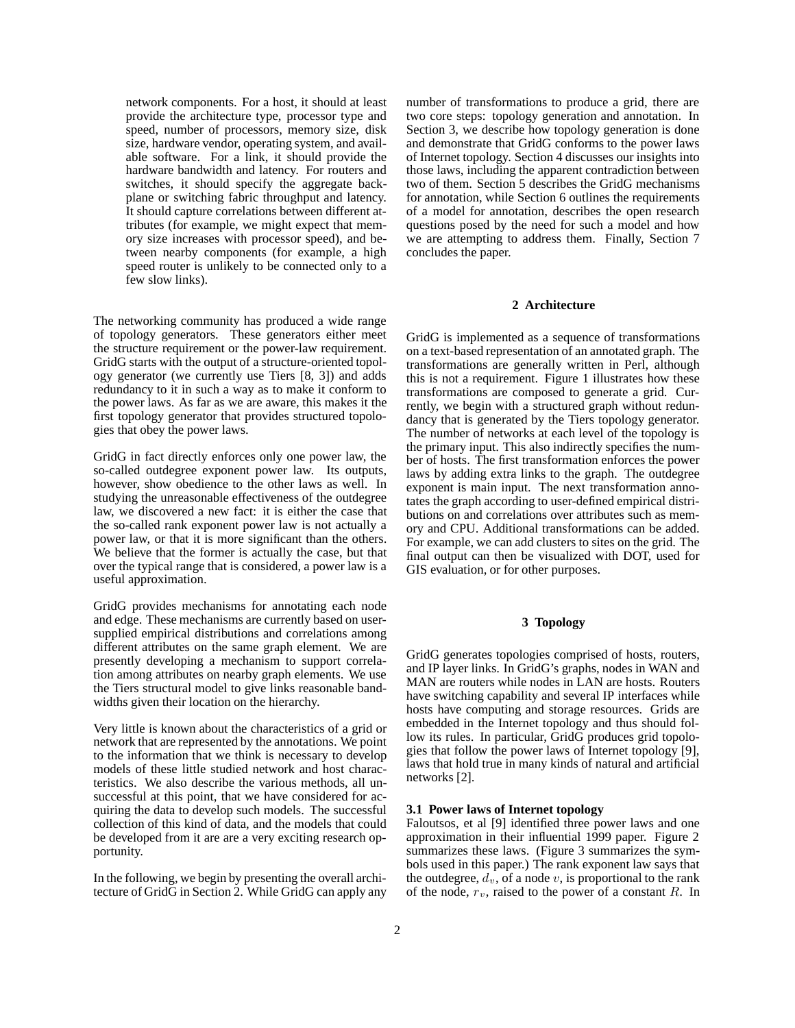network components. For a host, it should at least provide the architecture type, processor type and speed, number of processors, memory size, disk size, hardware vendor, operating system, and available software. For a link, it should provide the hardware bandwidth and latency. For routers and switches, it should specify the aggregate backplane or switching fabric throughput and latency. It should capture correlations between different attributes (for example, we might expect that memory size increases with processor speed), and between nearby components (for example, a high speed router is unlikely to be connected only to a few slow links).

The networking community has produced a wide range of topology generators. These generators either meet the structure requirement or the power-law requirement. GridG starts with the output of a structure-oriented topology generator (we currently use Tiers [8, 3]) and adds redundancy to it in such a way as to make it conform to the power laws. As far as we are aware, this makes it the first topology generator that provides structured topologies that obey the power laws.

GridG in fact directly enforces only one power law, the so-called outdegree exponent power law. Its outputs, however, show obedience to the other laws as well. In studying the unreasonable effectiveness of the outdegree law, we discovered a new fact: it is either the case that the so-called rank exponent power law is not actually a power law, or that it is more significant than the others. We believe that the former is actually the case, but that over the typical range that is considered, a power law is a useful approximation.

GridG provides mechanisms for annotating each node and edge. These mechanisms are currently based on usersupplied empirical distributions and correlations among different attributes on the same graph element. We are presently developing a mechanism to support correlation among attributes on nearby graph elements. We use the Tiers structural model to give links reasonable bandwidths given their location on the hierarchy.

Very little is known about the characteristics of a grid or network that are represented by the annotations. We point to the information that we think is necessary to develop models of these little studied network and host characteristics. We also describe the various methods, all unsuccessful at this point, that we have considered for acquiring the data to develop such models. The successful collection of this kind of data, and the models that could be developed from it are are a very exciting research opportunity.

In the following, we begin by presenting the overall architecture of GridG in Section 2. While GridG can apply any number of transformations to produce a grid, there are two core steps: topology generation and annotation. In Section 3, we describe how topology generation is done and demonstrate that GridG conforms to the power laws of Internet topology. Section 4 discusses our insights into those laws, including the apparent contradiction between two of them. Section 5 describes the GridG mechanisms for annotation, while Section 6 outlines the requirements of a model for annotation, describes the open research questions posed by the need for such a model and how we are attempting to address them. Finally, Section 7 concludes the paper.

# **2 Architecture**

GridG is implemented as a sequence of transformations on a text-based representation of an annotated graph. The transformations are generally written in Perl, although this is not a requirement. Figure 1 illustrates how these transformations are composed to generate a grid. Currently, we begin with a structured graph without redundancy that is generated by the Tiers topology generator. The number of networks at each level of the topology is the primary input. This also indirectly specifies the number of hosts. The first transformation enforces the power laws by adding extra links to the graph. The outdegree exponent is main input. The next transformation annotates the graph according to user-defined empirical distributions on and correlations over attributes such as memory and CPU. Additional transformations can be added. For example, we can add clusters to sites on the grid. The final output can then be visualized with DOT, used for GIS evaluation, or for other purposes.

## **3 Topology**

GridG generates topologies comprised of hosts, routers, and IP layer links. In GridG's graphs, nodes in WAN and MAN are routers while nodes in LAN are hosts. Routers have switching capability and several IP interfaces while hosts have computing and storage resources. Grids are embedded in the Internet topology and thus should follow its rules. In particular, GridG produces grid topologies that follow the power laws of Internet topology [9], laws that hold true in many kinds of natural and artificial networks [2].

#### **3.1 Power laws of Internet topology**

Faloutsos, et al [9] identified three power laws and one approximation in their influential 1999 paper. Figure 2 summarizes these laws. (Figure 3 summarizes the symbols used in this paper.) The rank exponent law says that the outdegree,  $d_v$ , of a node v, is proportional to the rank of the node, r*v*, raised to the power of a constant R. In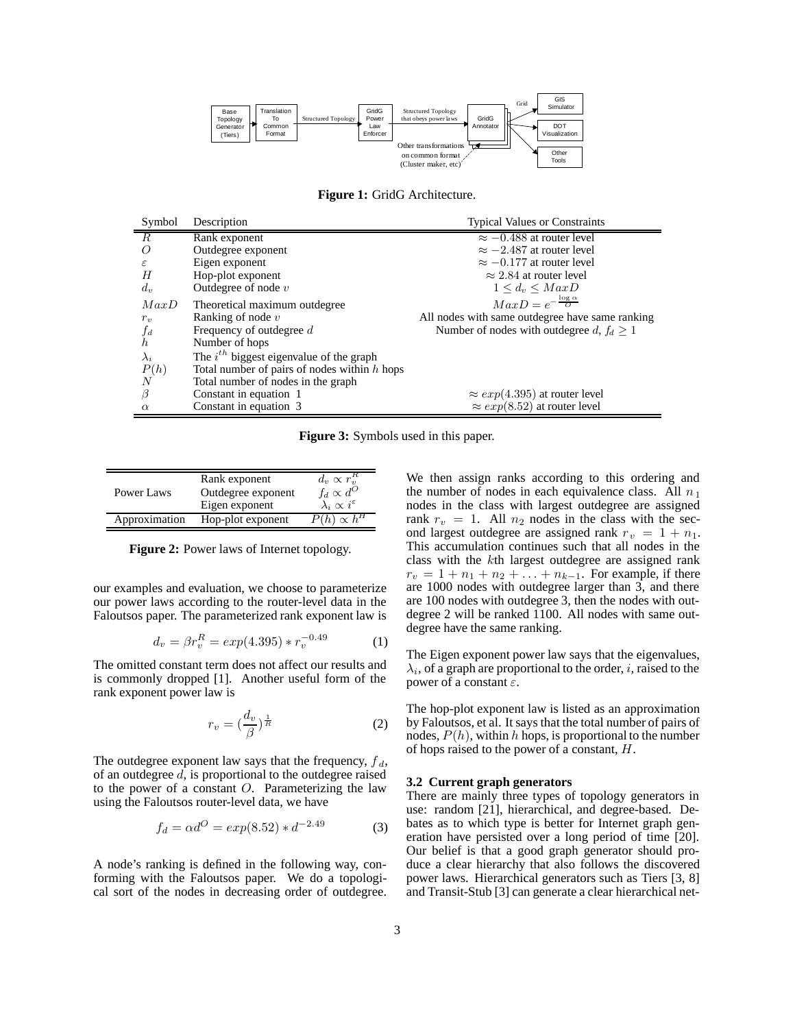

**Figure 1:** GridG Architecture.

| Symbol      | Description                                    | <b>Typical Values or Constraints</b>            |  |  |
|-------------|------------------------------------------------|-------------------------------------------------|--|--|
| R           | Rank exponent                                  | $\approx -0.488$ at router level                |  |  |
| $\theta$    | Outdegree exponent                             | $\approx -2.487$ at router level                |  |  |
| ε           | Eigen exponent                                 | $\approx -0.177$ at router level                |  |  |
| H           | Hop-plot exponent                              | $\approx 2.84$ at router level                  |  |  |
| $d_v$       | Outdegree of node $v$                          | $1 \leq d_v \leq MaxD$                          |  |  |
| MaxD        | Theoretical maximum outdegree                  | $MaxD = e^{-\frac{\log \alpha}{D}}$             |  |  |
| $r_v$       | Ranking of node $v$                            | All nodes with same outdegree have same ranking |  |  |
| fа          | Frequency of outdegree d                       | Number of nodes with outdegree d, $f_d > 1$     |  |  |
| h.          | Number of hops                                 |                                                 |  |  |
| $\lambda_i$ | The $i^{th}$ biggest eigenvalue of the graph   |                                                 |  |  |
| P(h)        | Total number of pairs of nodes within $h$ hops |                                                 |  |  |
| N           | Total number of nodes in the graph             |                                                 |  |  |
|             | Constant in equation 1                         | $\approx exp(4.395)$ at router level            |  |  |
| $\alpha$    | Constant in equation 3                         | $\approx exp(8.52)$ at router level             |  |  |

**Figure 3:** Symbols used in this paper.

|               | Rank exponent      | $d_v \propto r_v^R$                 |
|---------------|--------------------|-------------------------------------|
| Power Laws    | Outdegree exponent | $f_d \propto d^O$                   |
|               | Eigen exponent     | $\lambda_i \propto i^{\varepsilon}$ |
| Approximation | Hop-plot exponent  | $P(h) \propto h^H$                  |
|               |                    |                                     |

**Figure 2:** Power laws of Internet topology.

our examples and evaluation, we choose to parameterize our power laws according to the router-level data in the Faloutsos paper. The parameterized rank exponent law is

$$
d_v = \beta r_v^R = exp(4.395) * r_v^{-0.49}
$$
 (1)

The omitted constant term does not affect our results and is commonly dropped [1]. Another useful form of the rank exponent power law is

$$
r_v = \left(\frac{d_v}{\beta}\right)^{\frac{1}{R}}\tag{2}
$$

The outdegree exponent law says that the frequency,  $f_d$ , of an outdegree  $\overline{d}$ , is proportional to the outdegree raised to the power of a constant O. Parameterizing the law using the Faloutsos router-level data, we have

$$
f_d = \alpha d^O = exp(8.52) * d^{-2.49}
$$
 (3)

A node's ranking is defined in the following way, conforming with the Faloutsos paper. We do a topological sort of the nodes in decreasing order of outdegree. We then assign ranks according to this ordering and the number of nodes in each equivalence class. All  $n_1$ nodes in the class with largest outdegree are assigned rank  $r_v = 1$ . All  $n_2$  nodes in the class with the second largest outdegree are assigned rank  $r_v = 1 + n_1$ . This accumulation continues such that all nodes in the class with the kth largest outdegree are assigned rank  $r_v = 1 + n_1 + n_2 + ... + n_{k-1}$ . For example, if there are 1000 nodes with outdegree larger than 3, and there are 100 nodes with outdegree 3, then the nodes with outdegree 2 will be ranked 1100. All nodes with same outdegree have the same ranking.

The Eigen exponent power law says that the eigenvalues,  $\lambda_i$ , of a graph are proportional to the order, *i*, raised to the power of a constant  $\varepsilon$ .

The hop-plot exponent law is listed as an approximation by Faloutsos, et al. It says that the total number of pairs of nodes,  $P(h)$ , within h hops, is proportional to the number of hops raised to the power of a constant, H.

### **3.2 Current graph generators**

There are mainly three types of topology generators in use: random [21], hierarchical, and degree-based. Debates as to which type is better for Internet graph generation have persisted over a long period of time [20]. Our belief is that a good graph generator should produce a clear hierarchy that also follows the discovered power laws. Hierarchical generators such as Tiers [3, 8] and Transit-Stub [3] can generate a clear hierarchical net-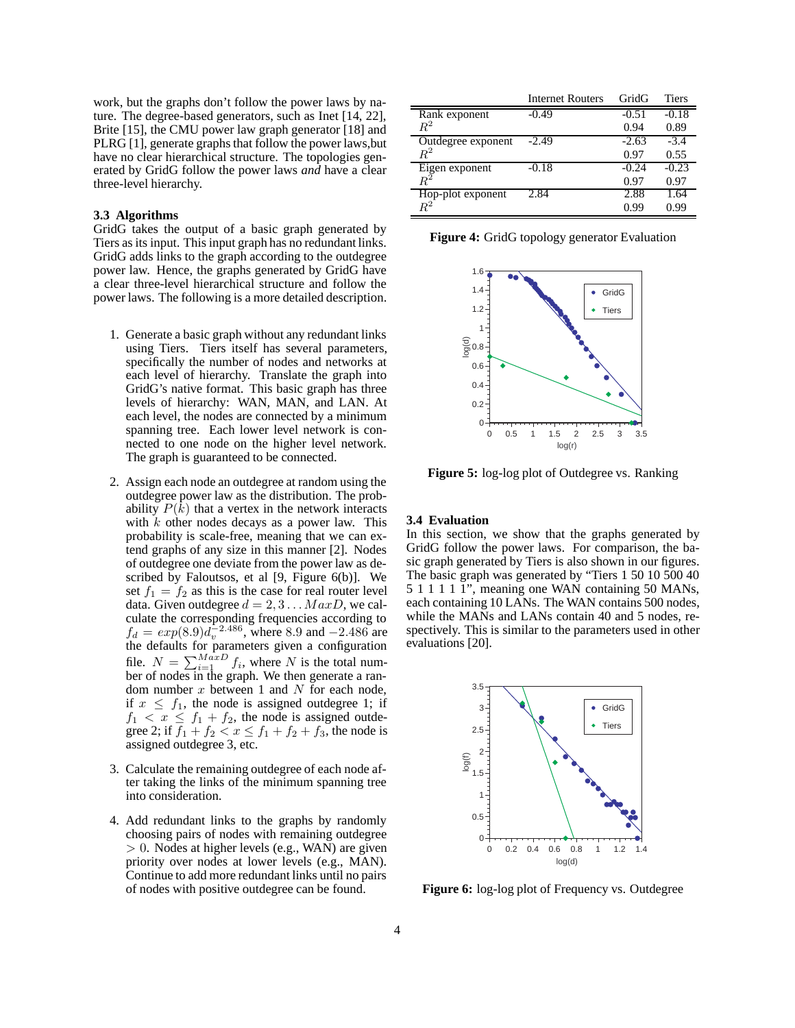work, but the graphs don't follow the power laws by nature. The degree-based generators, such as Inet [14, 22], Brite [15], the CMU power law graph generator [18] and PLRG [1], generate graphs that follow the power laws,but have no clear hierarchical structure. The topologies generated by GridG follow the power laws *and* have a clear three-level hierarchy.

# **3.3 Algorithms**

GridG takes the output of a basic graph generated by Tiers as its input. This input graph has no redundant links. GridG adds links to the graph according to the outdegree power law. Hence, the graphs generated by GridG have a clear three-level hierarchical structure and follow the power laws. The following is a more detailed description.

- 1. Generate a basic graph without any redundant links using Tiers. Tiers itself has several parameters, specifically the number of nodes and networks at each level of hierarchy. Translate the graph into GridG's native format. This basic graph has three levels of hierarchy: WAN, MAN, and LAN. At each level, the nodes are connected by a minimum spanning tree. Each lower level network is connected to one node on the higher level network. The graph is guaranteed to be connected.
- 2. Assign each node an outdegree at random using the outdegree power law as the distribution. The probability  $P(\bar{k})$  that a vertex in the network interacts with  $k$  other nodes decays as a power law. This probability is scale-free, meaning that we can extend graphs of any size in this manner [2]. Nodes of outdegree one deviate from the power law as described by Faloutsos, et al [9, Figure 6(b)]. We set  $f_1 = f_2$  as this is the case for real router level data. Given outdegree  $d = 2, 3...$   $MaxD$ , we calculate the corresponding frequencies according to  $f_d = exp(8.9)d_v^{-2.486}$ , where 8.9 and  $-2.486$  are the defaults for parameters given a configuration file.  $N = \sum_{i=1}^{MaxD} f_i$ , where N is the total number of nodes in the graph. We then generate a random number  $x$  between 1 and  $N$  for each node, if  $x \leq f_1$ , the node is assigned outdegree 1; if  $f_1 < x \leq f_1 + f_2$ , the node is assigned outdegree 2; if  $f_1 + f_2 < x \le f_1 + f_2 + f_3$ , the node is assigned outdegree 3, etc.
- 3. Calculate the remaining outdegree of each node after taking the links of the minimum spanning tree into consideration.
- 4. Add redundant links to the graphs by randomly choosing pairs of nodes with remaining outdegree > 0. Nodes at higher levels (e.g., WAN) are given priority over nodes at lower levels (e.g., MAN). Continue to add more redundant links until no pairs of nodes with positive outdegree can be found.

|                                 | <b>Internet Routers</b> | GridG   | <b>Tiers</b> |
|---------------------------------|-------------------------|---------|--------------|
| Rank exponent                   | $-0.49$                 | $-0.51$ | $-0.18$      |
| $\,R^2$                         |                         | 0.94    | 0.89         |
| Outdegree exponent              | $-2.49$                 | $-2.63$ | $-3.4$       |
| $\,R^2$                         |                         | 0.97    | 0.55         |
| Eigen exponent                  | $-0.18$                 | -0.24   | $-0.23$      |
| $\,R^2$                         |                         | 0.97    | 0.97         |
| $\overline{Hop}$ -plot exponent | 2.84                    | 2.88    | 1.64         |
| $\,R^2$                         |                         | 0.99    | 0.99         |

**Figure 4:** GridG topology generator Evaluation



**Figure 5:** log-log plot of Outdegree vs. Ranking

## **3.4 Evaluation**

In this section, we show that the graphs generated by GridG follow the power laws. For comparison, the basic graph generated by Tiers is also shown in our figures. The basic graph was generated by "Tiers 1 50 10 500 40 5 1 1 1 1 1", meaning one WAN containing 50 MANs, each containing 10 LANs. The WAN contains 500 nodes, while the MANs and LANs contain 40 and 5 nodes, respectively. This is similar to the parameters used in other evaluations [20].



**Figure 6:** log-log plot of Frequency vs. Outdegree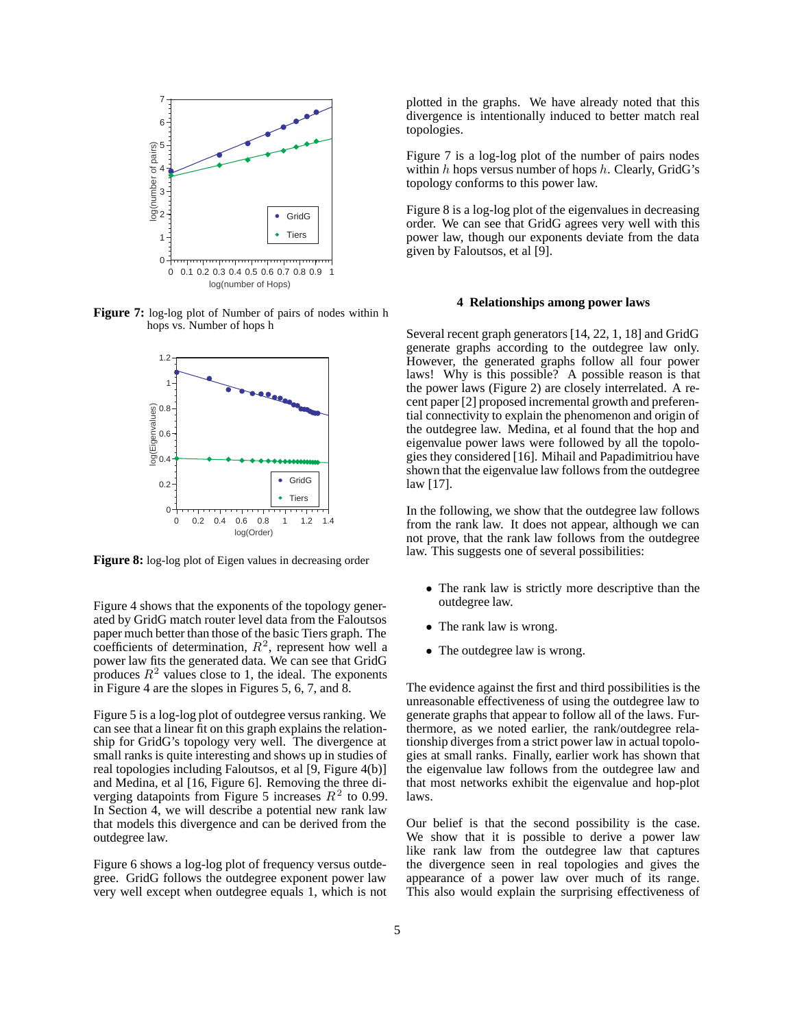

**Figure 7:** log-log plot of Number of pairs of nodes within h hops vs. Number of hops h



**Figure 8:** log-log plot of Eigen values in decreasing order

Figure 4 shows that the exponents of the topology generated by GridG match router level data from the Faloutsos paper much better than those of the basic Tiers graph. The coefficients of determination,  $R^2$ , represent how well a power law fits the generated data. We can see that GridG produces  $R^2$  values close to 1, the ideal. The exponents in Figure 4 are the slopes in Figures 5, 6, 7, and 8.

Figure 5 is a log-log plot of outdegree versus ranking. We can see that a linear fit on this graph explains the relationship for GridG's topology very well. The divergence at small ranks is quite interesting and shows up in studies of real topologies including Faloutsos, et al [9, Figure 4(b)] and Medina, et al [16, Figure 6]. Removing the three diverging datapoints from Figure 5 increases  $R^2$  to 0.99. In Section 4, we will describe a potential new rank law that models this divergence and can be derived from the outdegree law.

Figure 6 shows a log-log plot of frequency versus outdegree. GridG follows the outdegree exponent power law very well except when outdegree equals 1, which is not plotted in the graphs. We have already noted that this divergence is intentionally induced to better match real topologies.

Figure 7 is a log-log plot of the number of pairs nodes within  $h$  hops versus number of hops  $h$ . Clearly, GridG's topology conforms to this power law.

Figure 8 is a log-log plot of the eigenvalues in decreasing order. We can see that GridG agrees very well with this power law, though our exponents deviate from the data given by Faloutsos, et al [9].

## **4 Relationships among power laws**

Several recent graph generators [14, 22, 1, 18] and GridG generate graphs according to the outdegree law only. However, the generated graphs follow all four power laws! Why is this possible? A possible reason is that the power laws (Figure 2) are closely interrelated. A recent paper [2] proposed incremental growth and preferential connectivity to explain the phenomenon and origin of the outdegree law. Medina, et al found that the hop and eigenvalue power laws were followed by all the topologies they considered [16]. Mihail and Papadimitriou have shown that the eigenvalue law follows from the outdegree law [17].

In the following, we show that the outdegree law follows from the rank law. It does not appear, although we can not prove, that the rank law follows from the outdegree law. This suggests one of several possibilities:

- The rank law is strictly more descriptive than the outdegree law.
- The rank law is wrong.
- The outdegree law is wrong.

The evidence against the first and third possibilities is the unreasonable effectiveness of using the outdegree law to generate graphs that appear to follow all of the laws. Furthermore, as we noted earlier, the rank/outdegree relationship diverges from a strict power law in actual topologies at small ranks. Finally, earlier work has shown that the eigenvalue law follows from the outdegree law and that most networks exhibit the eigenvalue and hop-plot laws.

Our belief is that the second possibility is the case. We show that it is possible to derive a power law like rank law from the outdegree law that captures the divergence seen in real topologies and gives the appearance of a power law over much of its range. This also would explain the surprising effectiveness of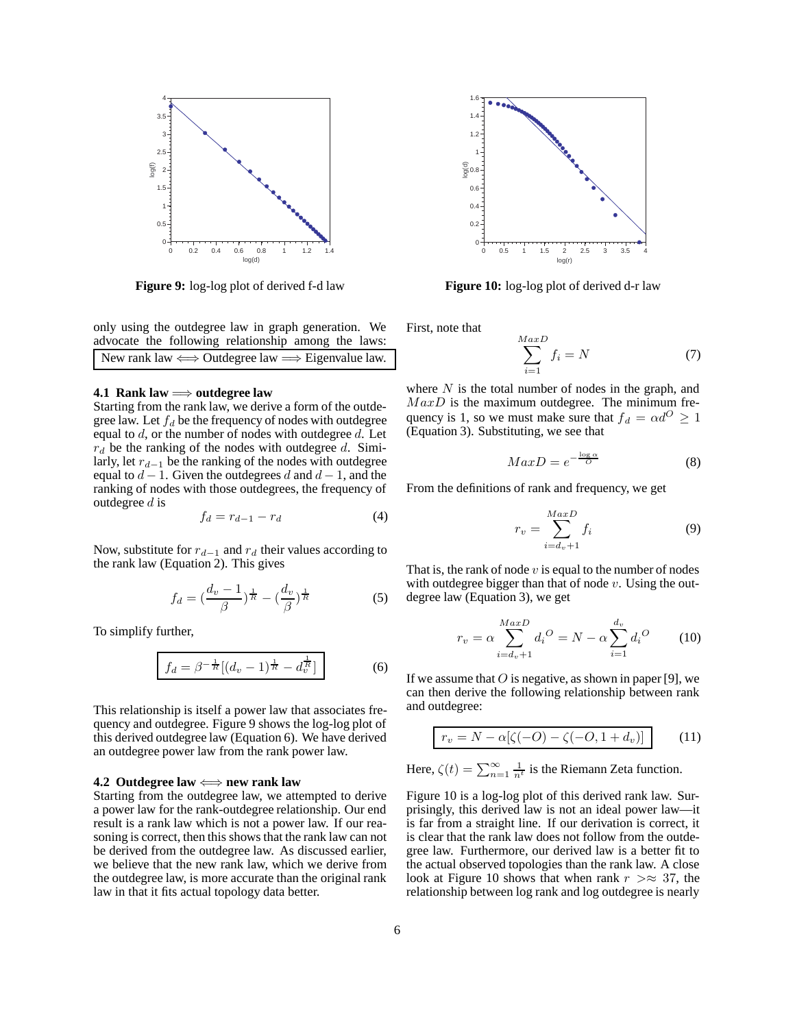

**Figure 9:** log-log plot of derived f-d law

only using the outdegree law in graph generation. We advocate the following relationship among the laws: New rank law  $\Longleftrightarrow$  Outdegree law  $\Longrightarrow$  Eigenvalue law.

#### **4.1 Rank law** =⇒ **outdegree law**

Starting from the rank law, we derive a form of the outdegree law. Let  $f_d$  be the frequency of nodes with outdegree equal to  $d$ , or the number of nodes with outdegree  $d$ . Let  $r_d$  be the ranking of the nodes with outdegree d. Similarly, let <sup>r</sup>*<sup>d</sup>*−<sup>1</sup> be the ranking of the nodes with outdegree equal to  $d-1$ . Given the outdegrees d and  $d-1$ , and the ranking of nodes with those outdegrees, the frequency of outdegree  $d$  is

$$
f_d = r_{d-1} - r_d \tag{4}
$$

Now, substitute for <sup>r</sup>*<sup>d</sup>*−<sup>1</sup> and <sup>r</sup>*<sup>d</sup>* their values according to the rank law (Equation 2). This gives

$$
f_d = \left(\frac{d_v - 1}{\beta}\right)^{\frac{1}{R}} - \left(\frac{d_v}{\beta}\right)^{\frac{1}{R}}\tag{5}
$$

To simplify further,

$$
f_d = \beta^{-\frac{1}{R}} \left[ (d_v - 1)^{\frac{1}{R}} - d_v^{\frac{1}{R}} \right]
$$
 (6)

This relationship is itself a power law that associates frequency and outdegree. Figure 9 shows the log-log plot of this derived outdegree law (Equation 6). We have derived an outdegree power law from the rank power law.

#### **4.2 Outdegree law** ⇐⇒ **new rank law**

Starting from the outdegree law, we attempted to derive a power law for the rank-outdegree relationship. Our end result is a rank law which is not a power law. If our reasoning is correct, then this shows that the rank law can not be derived from the outdegree law. As discussed earlier, we believe that the new rank law, which we derive from the outdegree law, is more accurate than the original rank law in that it fits actual topology data better.



**Figure 10:** log-log plot of derived d-r law

*MaxD*

First, note that

$$
\sum_{i=1}^{MuxD} f_i = N \tag{7}
$$

where  $N$  is the total number of nodes in the graph, and  $MaxD$  is the maximum outdegree. The minimum frequency is 1, so we must make sure that  $f_d = \alpha d^O \ge 1$ (Equation 3). Substituting, we see that

$$
MaxD = e^{-\frac{\log \alpha}{C}} \tag{8}
$$

From the definitions of rank and frequency, we get

$$
r_v = \sum_{i=d_v+1}^{MaxD} f_i
$$
 (9)

That is, the rank of node  $v$  is equal to the number of nodes with outdegree bigger than that of node  $v$ . Using the outdegree law (Equation 3), we get

$$
r_v = \alpha \sum_{i=d_v+1}^{MaxD} d_i^{\ O} = N - \alpha \sum_{i=1}^{d_v} d_i^{\ O} \tag{10}
$$

If we assume that  $O$  is negative, as shown in paper [9], we can then derive the following relationship between rank and outdegree:

$$
r_v = N - \alpha[\zeta(-O) - \zeta(-O, 1 + d_v)]
$$
 (11)

Here,  $\zeta(t) = \sum_{n=1}^{\infty} \frac{1}{n^t}$  is the Riemann Zeta function.

Figure 10 is a log-log plot of this derived rank law. Surprisingly, this derived law is not an ideal power law—it is far from a straight line. If our derivation is correct, it is clear that the rank law does not follow from the outdegree law. Furthermore, our derived law is a better fit to the actual observed topologies than the rank law. A close look at Figure 10 shows that when rank  $r > \approx 37$ , the relationship between log rank and log outdegree is nearly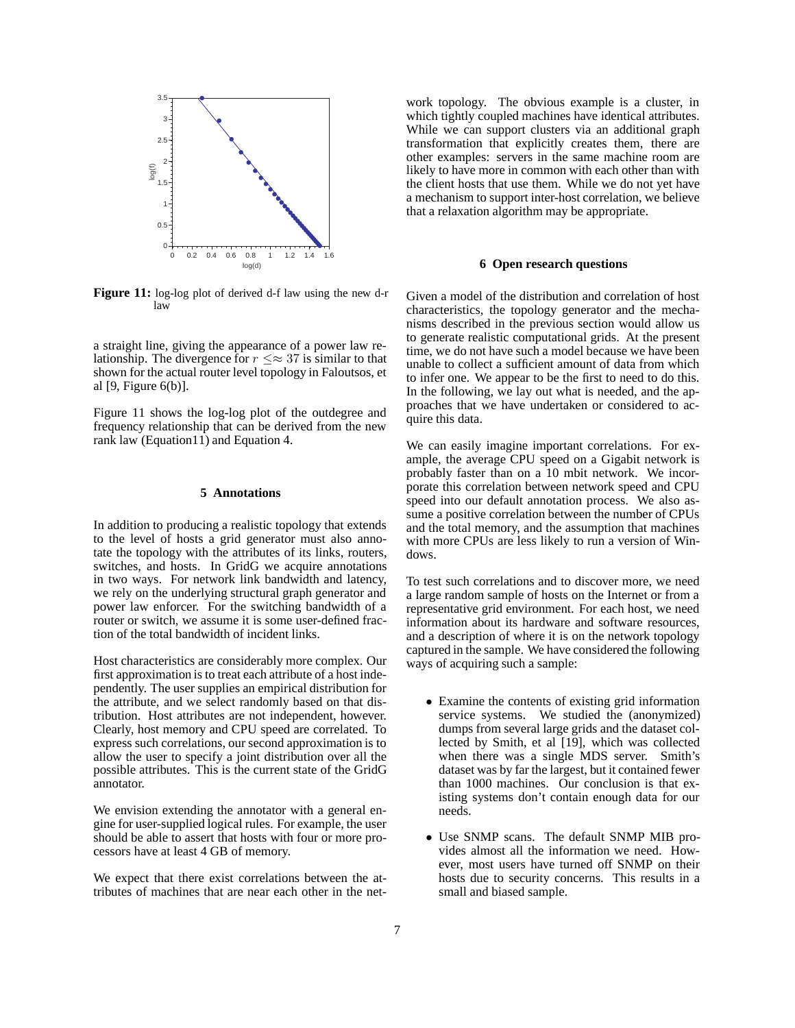

**Figure 11:** log-log plot of derived d-f law using the new d-r law

a straight line, giving the appearance of a power law relationship. The divergence for  $r \leq \approx 37$  is similar to that shown for the actual router level topology in Faloutsos, et al [9, Figure 6(b)].

Figure 11 shows the log-log plot of the outdegree and frequency relationship that can be derived from the new rank law (Equation11) and Equation 4.

# **5 Annotations**

In addition to producing a realistic topology that extends to the level of hosts a grid generator must also annotate the topology with the attributes of its links, routers, switches, and hosts. In GridG we acquire annotations in two ways. For network link bandwidth and latency, we rely on the underlying structural graph generator and power law enforcer. For the switching bandwidth of a router or switch, we assume it is some user-defined fraction of the total bandwidth of incident links.

Host characteristics are considerably more complex. Our first approximation is to treat each attribute of a host independently. The user supplies an empirical distribution for the attribute, and we select randomly based on that distribution. Host attributes are not independent, however. Clearly, host memory and CPU speed are correlated. To express such correlations, our second approximation is to allow the user to specify a joint distribution over all the possible attributes. This is the current state of the GridG annotator.

We envision extending the annotator with a general engine for user-supplied logical rules. For example, the user should be able to assert that hosts with four or more processors have at least 4 GB of memory.

We expect that there exist correlations between the attributes of machines that are near each other in the network topology. The obvious example is a cluster, in which tightly coupled machines have identical attributes. While we can support clusters via an additional graph transformation that explicitly creates them, there are other examples: servers in the same machine room are likely to have more in common with each other than with the client hosts that use them. While we do not yet have a mechanism to support inter-host correlation, we believe that a relaxation algorithm may be appropriate.

# **6 Open research questions**

Given a model of the distribution and correlation of host characteristics, the topology generator and the mechanisms described in the previous section would allow us to generate realistic computational grids. At the present time, we do not have such a model because we have been unable to collect a sufficient amount of data from which to infer one. We appear to be the first to need to do this. In the following, we lay out what is needed, and the approaches that we have undertaken or considered to acquire this data.

We can easily imagine important correlations. For example, the average CPU speed on a Gigabit network is probably faster than on a 10 mbit network. We incorporate this correlation between network speed and CPU speed into our default annotation process. We also assume a positive correlation between the number of CPUs and the total memory, and the assumption that machines with more CPUs are less likely to run a version of Windows.

To test such correlations and to discover more, we need a large random sample of hosts on the Internet or from a representative grid environment. For each host, we need information about its hardware and software resources, and a description of where it is on the network topology captured in the sample. We have considered the following ways of acquiring such a sample:

- Examine the contents of existing grid information service systems. We studied the (anonymized) dumps from several large grids and the dataset collected by Smith, et al [19], which was collected when there was a single MDS server. Smith's dataset was by far the largest, but it contained fewer than 1000 machines. Our conclusion is that existing systems don't contain enough data for our needs.
- Use SNMP scans. The default SNMP MIB provides almost all the information we need. However, most users have turned off SNMP on their hosts due to security concerns. This results in a small and biased sample.